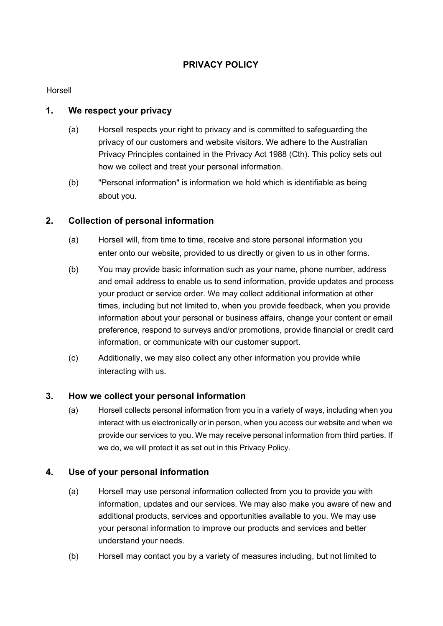# **PRIVACY POLICY**

#### Horsell

#### **1. We respect your privacy**

- (a) Horsell respects your right to privacy and is committed to safeguarding the privacy of our customers and website visitors. We adhere to the Australian Privacy Principles contained in the Privacy Act 1988 (Cth). This policy sets out how we collect and treat your personal information.
- (b) "Personal information" is information we hold which is identifiable as being about you.

## **2. Collection of personal information**

- (a) Horsell will, from time to time, receive and store personal information you enter onto our website, provided to us directly or given to us in other forms.
- (b) You may provide basic information such as your name, phone number, address and email address to enable us to send information, provide updates and process your product or service order. We may collect additional information at other times, including but not limited to, when you provide feedback, when you provide information about your personal or business affairs, change your content or email preference, respond to surveys and/or promotions, provide financial or credit card information, or communicate with our customer support.
- (c) Additionally, we may also collect any other information you provide while interacting with us.

## **3. How we collect your personal information**

(a) Horsell collects personal information from you in a variety of ways, including when you interact with us electronically or in person, when you access our website and when we provide our services to you. We may receive personal information from third parties. If we do, we will protect it as set out in this Privacy Policy.

## **4. Use of your personal information**

- (a) Horsell may use personal information collected from you to provide you with information, updates and our services. We may also make you aware of new and additional products, services and opportunities available to you. We may use your personal information to improve our products and services and better understand your needs.
- (b) Horsell may contact you by a variety of measures including, but not limited to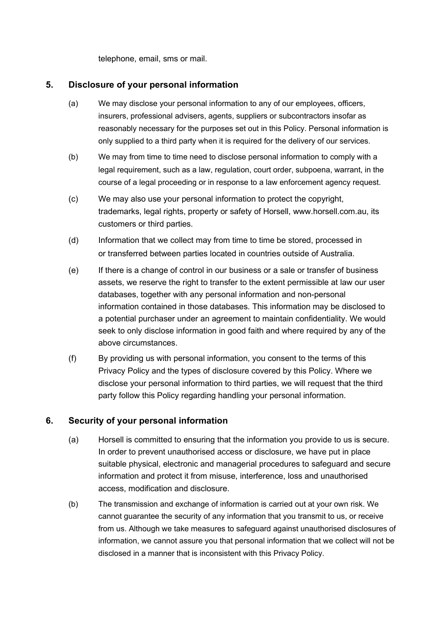telephone, email, sms or mail.

#### **5. Disclosure of your personal information**

- (a) We may disclose your personal information to any of our employees, officers, insurers, professional advisers, agents, suppliers or subcontractors insofar as reasonably necessary for the purposes set out in this Policy. Personal information is only supplied to a third party when it is required for the delivery of our services.
- (b) We may from time to time need to disclose personal information to comply with a legal requirement, such as a law, regulation, court order, subpoena, warrant, in the course of a legal proceeding or in response to a law enforcement agency request.
- (c) We may also use your personal information to protect the copyright, trademarks, legal rights, property or safety of Horsell, www.horsell.com.au, its customers or third parties.
- (d) Information that we collect may from time to time be stored, processed in or transferred between parties located in countries outside of Australia.
- (e) If there is a change of control in our business or a sale or transfer of business assets, we reserve the right to transfer to the extent permissible at law our user databases, together with any personal information and non-personal information contained in those databases. This information may be disclosed to a potential purchaser under an agreement to maintain confidentiality. We would seek to only disclose information in good faith and where required by any of the above circumstances.
- (f) By providing us with personal information, you consent to the terms of this Privacy Policy and the types of disclosure covered by this Policy. Where we disclose your personal information to third parties, we will request that the third party follow this Policy regarding handling your personal information.

## **6. Security of your personal information**

- (a) Horsell is committed to ensuring that the information you provide to us is secure. In order to prevent unauthorised access or disclosure, we have put in place suitable physical, electronic and managerial procedures to safeguard and secure information and protect it from misuse, interference, loss and unauthorised access, modification and disclosure.
- (b) The transmission and exchange of information is carried out at your own risk. We cannot guarantee the security of any information that you transmit to us, or receive from us. Although we take measures to safeguard against unauthorised disclosures of information, we cannot assure you that personal information that we collect will not be disclosed in a manner that is inconsistent with this Privacy Policy.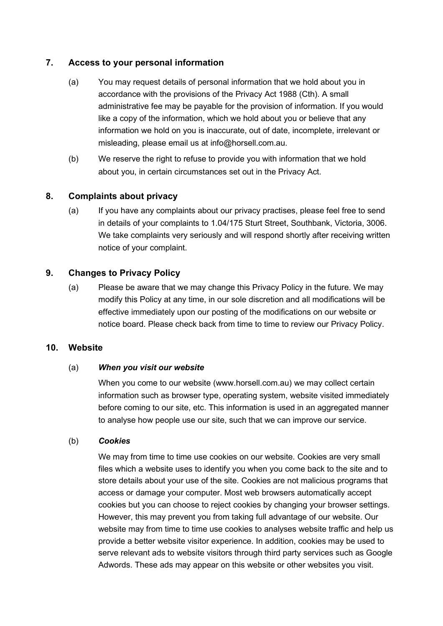### **7. Access to your personal information**

- (a) You may request details of personal information that we hold about you in accordance with the provisions of the Privacy Act 1988 (Cth). A small administrative fee may be payable for the provision of information. If you would like a copy of the information, which we hold about you or believe that any information we hold on you is inaccurate, out of date, incomplete, irrelevant or misleading, please email us at info@horsell.com.au.
- (b) We reserve the right to refuse to provide you with information that we hold about you, in certain circumstances set out in the Privacy Act.

## **8. Complaints about privacy**

(a) If you have any complaints about our privacy practises, please feel free to send in details of your complaints to 1.04/175 Sturt Street, Southbank, Victoria, 3006. We take complaints very seriously and will respond shortly after receiving written notice of your complaint.

## **9. Changes to Privacy Policy**

(a) Please be aware that we may change this Privacy Policy in the future. We may modify this Policy at any time, in our sole discretion and all modifications will be effective immediately upon our posting of the modifications on our website or notice board. Please check back from time to time to review our Privacy Policy.

#### **10. Website**

#### (a) *When you visit our website*

When you come to our website (www.horsell.com.au) we may collect certain information such as browser type, operating system, website visited immediately before coming to our site, etc. This information is used in an aggregated manner to analyse how people use our site, such that we can improve our service.

#### (b) *Cookies*

We may from time to time use cookies on our website. Cookies are very small files which a website uses to identify you when you come back to the site and to store details about your use of the site. Cookies are not malicious programs that access or damage your computer. Most web browsers automatically accept cookies but you can choose to reject cookies by changing your browser settings. However, this may prevent you from taking full advantage of our website. Our website may from time to time use cookies to analyses website traffic and help us provide a better website visitor experience. In addition, cookies may be used to serve relevant ads to website visitors through third party services such as Google Adwords. These ads may appear on this website or other websites you visit.